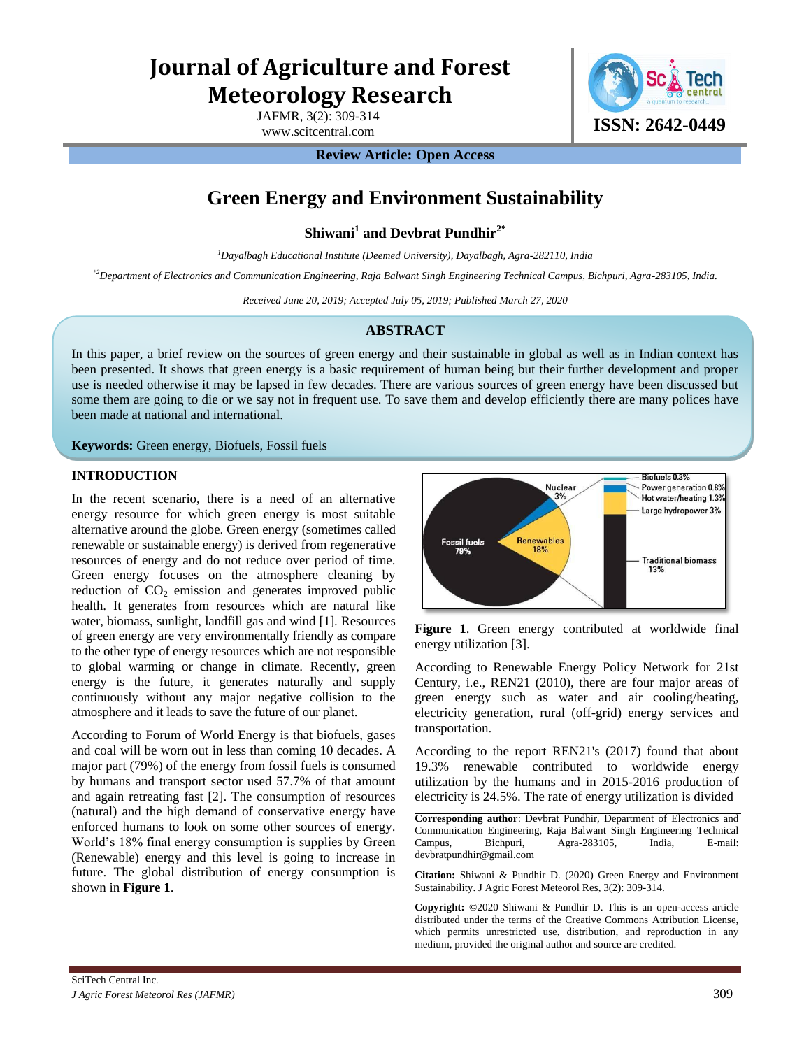# **Journal of Agriculture and Forest Meteorology Research**

JAFMR, 3(2): 309-314



**Review Article: Open Access** 

## **Green Energy and Environment Sustainability**

**Shiwani<sup>1</sup> and Devbrat Pundhir2\***

*<sup>1</sup>Dayalbagh Educational Institute (Deemed University), Dayalbagh, Agra-282110, India* 

*\*2Department of Electronics and Communication Engineering, Raja Balwant Singh Engineering Technical Campus, Bichpuri, Agra-283105, India.*

*Received June 20, 2019; Accepted July 05, 2019; Published March 27, 2020*

## **ABSTRACT**

In this paper, a brief review on the sources of green energy and their sustainable in global as well as in Indian context has been presented. It shows that green energy is a basic requirement of human being but their further development and proper use is needed otherwise it may be lapsed in few decades. There are various sources of green energy have been discussed but some them are going to die or we say not in frequent use. To save them and develop efficiently there are many polices have been made at national and international.

**Keywords:** Green energy, Biofuels, Fossil fuels

## **INTRODUCTION**

In the recent scenario, there is a need of an alternative energy resource for which green energy is most suitable alternative around the globe. Green energy (sometimes called renewable or sustainable energy) is derived from regenerative resources of energy and do not reduce over period of time. Green energy focuses on the atmosphere cleaning by reduction of  $CO<sub>2</sub>$  emission and generates improved public health. It generates from resources which are natural like water, biomass, sunlight, landfill gas and wind [1]. Resources of green energy are very environmentally friendly as compare to the other type of energy resources which are not responsible to global warming or change in climate. Recently, green energy is the future, it generates naturally and supply continuously without any major negative collision to the atmosphere and it leads to save the future of our planet.

According to Forum of World Energy is that biofuels, gases and coal will be worn out in less than coming 10 decades. A major part (79%) of the energy from fossil fuels is consumed by humans and transport sector used 57.7% of that amount and again retreating fast [2]. The consumption of resources (natural) and the high demand of conservative energy have enforced humans to look on some other sources of energy. World's 18% final energy consumption is supplies by Green (Renewable) energy and this level is going to increase in future. The global distribution of energy consumption is shown in **Figure 1**.



**Figure 1**. Green energy contributed at worldwide final energy utilization [3].

According to Renewable Energy Policy Network for 21st Century, i.e., REN21 (2010), there are four major areas of green energy such as water and air cooling/heating, electricity generation, rural (off-grid) energy services and transportation.

According to the report REN21's (2017) found that about 19.3% renewable contributed to worldwide energy utilization by the humans and in 2015-2016 production of electricity is 24.5%. The rate of energy utilization is divided

**Corresponding author**: Devbrat Pundhir, Department of Electronics and Communication Engineering, Raja Balwant Singh Engineering Technical Campus, Bichpuri, Agra-283105, India, E-mail: devbratpundhir@gmail.com

**Citation:** Shiwani & Pundhir D. (2020) Green Energy and Environment Sustainability. J Agric Forest Meteorol Res, 3(2): 309-314.

**Copyright:** ©2020 Shiwani & Pundhir D. This is an open-access article distributed under the terms of the Creative Commons Attribution License, which permits unrestricted use, distribution, and reproduction in any medium, provided the original author and source are credited.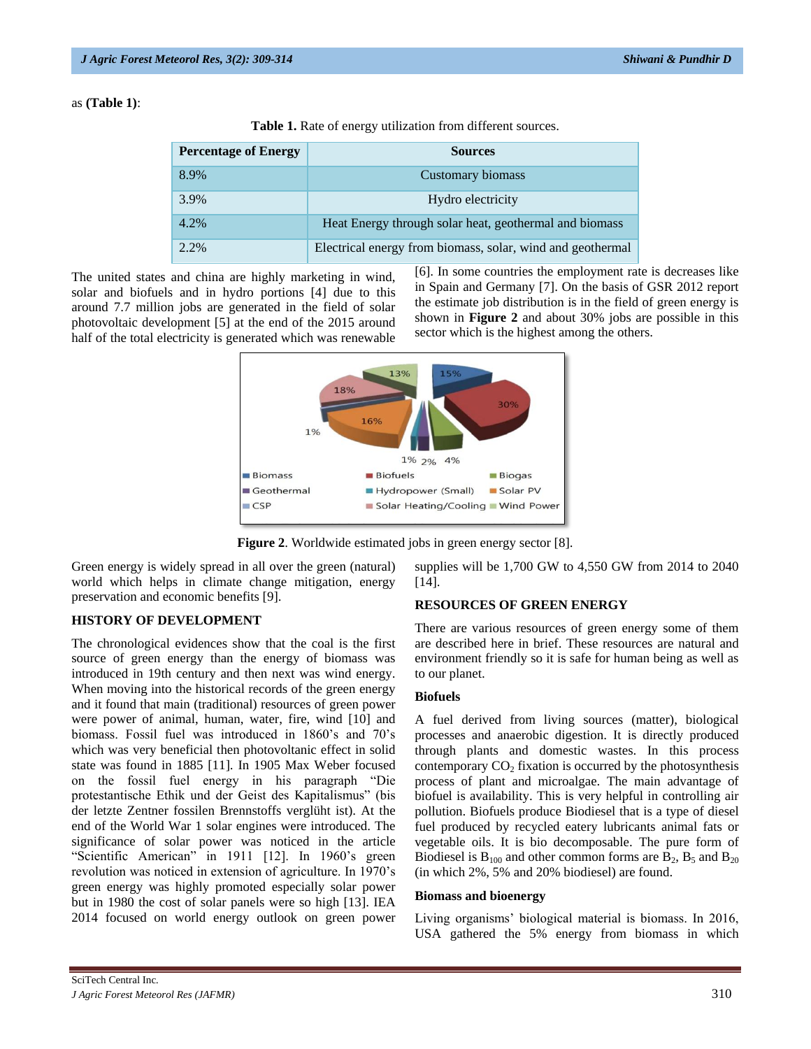#### as **(Table 1)**:

|  |  |  |  |  | Table 1. Rate of energy utilization from different sources. |
|--|--|--|--|--|-------------------------------------------------------------|
|--|--|--|--|--|-------------------------------------------------------------|

| <b>Percentage of Energy</b> | <b>Sources</b>                                             |  |  |
|-----------------------------|------------------------------------------------------------|--|--|
| 8.9%                        | Customary biomass                                          |  |  |
| 3.9%                        | Hydro electricity                                          |  |  |
| 4.2%                        | Heat Energy through solar heat, geothermal and biomass     |  |  |
| 2.2%                        | Electrical energy from biomass, solar, wind and geothermal |  |  |

The united states and china are highly marketing in wind, solar and biofuels and in hydro portions [4] due to this around 7.7 million jobs are generated in the field of solar photovoltaic development [5] at the end of the 2015 around half of the total electricity is generated which was renewable

[6]. In some countries the employment rate is decreases like in Spain and Germany [7]. On the basis of GSR 2012 report the estimate job distribution is in the field of green energy is shown in **Figure 2** and about 30% jobs are possible in this sector which is the highest among the others.



**Figure 2**. Worldwide estimated jobs in green energy sector [8].

Green energy is widely spread in all over the green (natural) world which helps in climate change mitigation, energy preservation and economic benefits [9].

## **HISTORY OF DEVELOPMENT**

The chronological evidences show that the coal is the first source of green energy than the energy of biomass was introduced in 19th century and then next was wind energy. When moving into the historical records of the green energy and it found that main (traditional) resources of green power were power of animal, human, water, fire, wind [10] and biomass. Fossil fuel was introduced in 1860's and 70's which was very beneficial then photovoltanic effect in solid state was found in 1885 [11]. In 1905 Max Weber focused on the fossil fuel energy in his paragraph "Die protestantische Ethik und der Geist des Kapitalismus" (bis der letzte Zentner fossilen Brennstoffs verglüht ist). At the end of the World War 1 solar engines were introduced. The significance of solar power was noticed in the article "Scientific American" in 1911 [12]. In 1960's green revolution was noticed in extension of agriculture. In 1970's green energy was highly promoted especially solar power but in 1980 the cost of solar panels were so high [13]. IEA 2014 focused on world energy outlook on green power

supplies will be 1,700 GW to 4,550 GW from 2014 to 2040 [14].

## **RESOURCES OF GREEN ENERGY**

There are various resources of green energy some of them are described here in brief. These resources are natural and environment friendly so it is safe for human being as well as to our planet.

## **Biofuels**

A fuel derived from living sources (matter), biological processes and anaerobic digestion. It is directly produced through plants and domestic wastes. In this process contemporary  $CO<sub>2</sub>$  fixation is occurred by the photosynthesis process of plant and microalgae. The main advantage of biofuel is availability. This is very helpful in controlling air pollution. Biofuels produce [Biodiesel](https://greenenergy.conferenceseries.com/events-list/biomass-bioenergy) that is a type of diesel fuel produced by recycled eatery lubricants [animal fats](https://greenenergy.conferenceseries.com/events-list/biomass-bioenergy) or [vegetable oils.](https://greenenergy.conferenceseries.com/events-list/biomass-bioenergy) It is [bio decomposable.](https://greenenergy.conferenceseries.com/events-list/biomass-bioenergy) The pure form of [Biodiesel](https://greenenergy.conferenceseries.com/events-list/biomass-bioenergy) is  $B_{100}$  and other common forms are  $B_2$ ,  $B_5$  and  $B_{20}$ (in which 2%, 5% and 20% biodiesel) are found.

#### **Biomass and bioenergy**

Living organisms' biological material is biomass. In 2016, USA gathered the 5% energy from biomass in which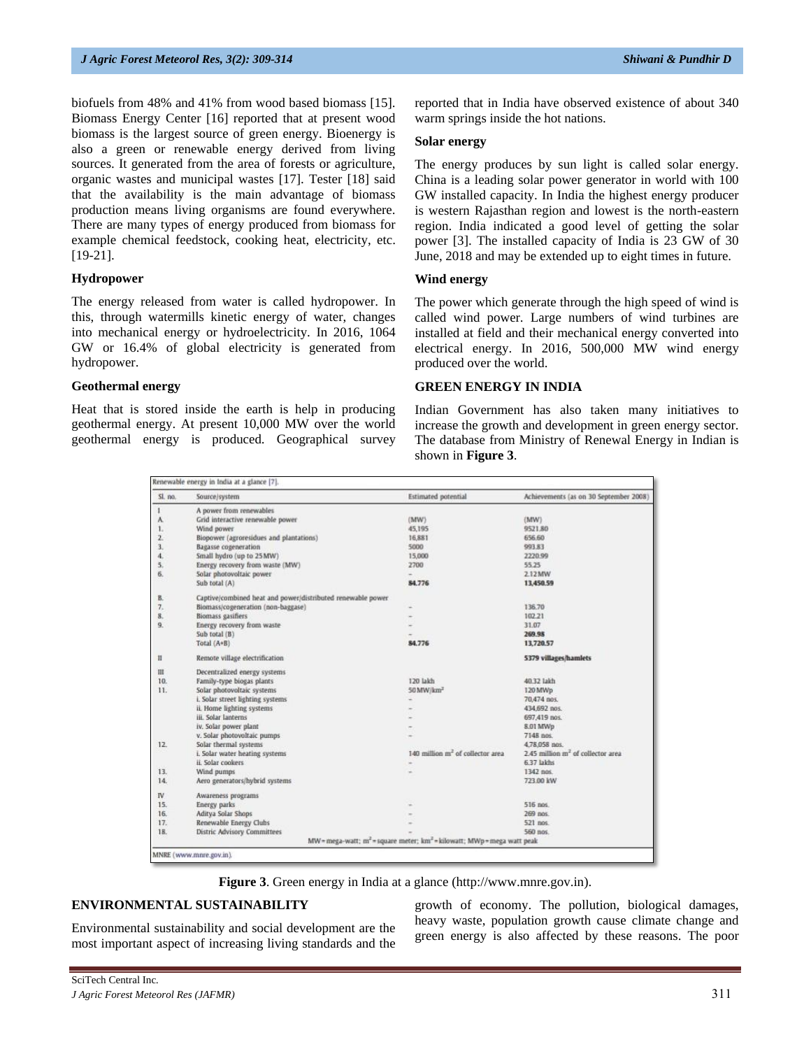biofuels from 48% and 41% from wood based biomass [15]. Biomass Energy Center [16] reported that at present wood biomass is the largest source of green energy. Bioenergy is also a green or renewable energy derived from living sources. It generated from the area of forests or agriculture, organic wastes and municipal wastes [17]. Tester [18] said that the availability is the main advantage of biomass production means living organisms are found everywhere. There are many types of energy produced from biomass for example chemical feedstock, cooking heat, electricity, etc. [19-21].

#### **Hydropower**

The energy released from water is called hydropower. In this, through watermills kinetic energy of water, changes into mechanical energy or hydroelectricity. In 2016, 1064 GW or 16.4% of global electricity is generated from hydropower.

## **Geothermal energy**

Heat that is stored inside the earth is help in producing geothermal energy. At present 10,000 MW over the world geothermal energy is produced. Geographical survey reported that in India have observed existence of about 340 warm springs inside the hot nations.

#### **Solar energy**

The energy produces by sun light is called solar energy. China is a leading solar power generator in world with 100 GW installed capacity. In India the highest energy producer is western Rajasthan region and lowest is the north-eastern region. India indicated a good level of getting the solar power [3]. The installed capacity of India is 23 GW of 30 June, 2018 and may be extended up to eight times in future.

#### **Wind energy**

The power which generate through the high speed of wind is called wind power. Large numbers of wind turbines are installed at field and their mechanical energy converted into electrical energy. In 2016, 500,000 MW wind energy produced over the world.

#### **GREEN ENERGY IN INDIA**

Indian Government has also taken many initiatives to increase the growth and development in green energy sector. The database from Ministry of Renewal Energy in Indian is shown in **Figure 3**.

| Sl. no.        | Source/system                                               | <b>Estimated</b> potential                                                          | Achievements (as on 30 September 2008)        |
|----------------|-------------------------------------------------------------|-------------------------------------------------------------------------------------|-----------------------------------------------|
| $\mathbf{1}$   | A power from renewables                                     |                                                                                     |                                               |
| A.             | Grid interactive renewable power                            | (MW)                                                                                | (MW)                                          |
| 1.             | Wind power                                                  | 45,195                                                                              | 9521.80                                       |
| $\mathbf{z}$   | Biopower (agroresidues and plantations)                     | 16,881                                                                              | 656.60                                        |
| $\overline{3}$ | <b>Bagasse</b> cogeneration                                 | 5000                                                                                | 993.83                                        |
| $\overline{4}$ | Small hydro (up to 25 MW)                                   | 15,000                                                                              | 2220.99                                       |
| 5.             | Energy recovery from waste (MW)                             | 2700                                                                                | 55.25                                         |
| 6.             | Solar photovoltaic power                                    |                                                                                     | 2.12 MW                                       |
|                | Sub total (A)                                               | 84,776                                                                              | 13,450.59                                     |
| B.             | Captive/combined heat and power/distributed renewable power |                                                                                     |                                               |
| 7.             | Biomass/cogeneration (non-baggase)                          |                                                                                     | 136.70                                        |
| 8.             | <b>Biomass gasifiers</b>                                    |                                                                                     | 102.21                                        |
| 9.             | Energy recovery from waste                                  |                                                                                     | 31.07                                         |
|                | Sub total (B)                                               |                                                                                     | 269.98                                        |
|                | Total (A+B)                                                 | 84,776                                                                              | 13,720.57                                     |
| П              | Remote village electrification                              |                                                                                     | 5379 villages/hamlets                         |
| Ш              | Decentralized energy systems                                |                                                                                     |                                               |
| 10.            | Family-type biogas plants                                   | 120 lakh                                                                            | 40.32 lakh                                    |
| 11.            | Solar photovoltaic systems                                  | 50 MW/km <sup>2</sup>                                                               | 120 MWp                                       |
|                | i. Solar street lighting systems                            | ÷                                                                                   | 70,474 nos.                                   |
|                | ii. Home lighting systems                                   |                                                                                     | 434,692 pos.                                  |
|                | iii. Solar lanterns                                         |                                                                                     | 697,419 nos.                                  |
|                | iv. Solar power plant                                       |                                                                                     | 8.01 MWp                                      |
|                | v. Solar photovoltaic pumps                                 |                                                                                     | 7148 nos                                      |
| 12.            | Solar thermal systems                                       |                                                                                     | 4.78.058 nos.                                 |
|                | i. Solar water heating systems                              | 140 million m <sup>2</sup> of collector area                                        | 2.45 million m <sup>2</sup> of collector area |
|                | ii. Solar cookers                                           |                                                                                     | 6.37 lakhs                                    |
| 13.            | Wind pumps                                                  |                                                                                     | 1342 nos.                                     |
| 14.            | Aero generators/hybrid systems                              |                                                                                     | 723.00 kW                                     |
| IV             | Awareness programs                                          |                                                                                     |                                               |
| 15.            | Energy parks                                                |                                                                                     | 516 nos.                                      |
| 16.            | Aditya Solar Shops                                          |                                                                                     | 269 nos                                       |
| 17.            | Renewable Energy Clubs                                      |                                                                                     | 521 nos                                       |
| 18.            | Distric Advisory Committees                                 |                                                                                     | 560 nos.                                      |
|                |                                                             | $MW = mega-watt$ ; $m^2 = square$ meter; $km^2 = kilowatt$ ; $MWp = mega watt peak$ |                                               |

**Figure 3**. Green energy in India at a glance [\(http://www.mnre.gov.in\)](http://www.mnre.gov.in/).

## **ENVIRONMENTAL SUSTAINABILITY**

Environmental sustainability and social development are the most important aspect of increasing living standards and the growth of economy. The pollution, biological damages, heavy waste, population growth cause climate change and green energy is also affected by these reasons. The poor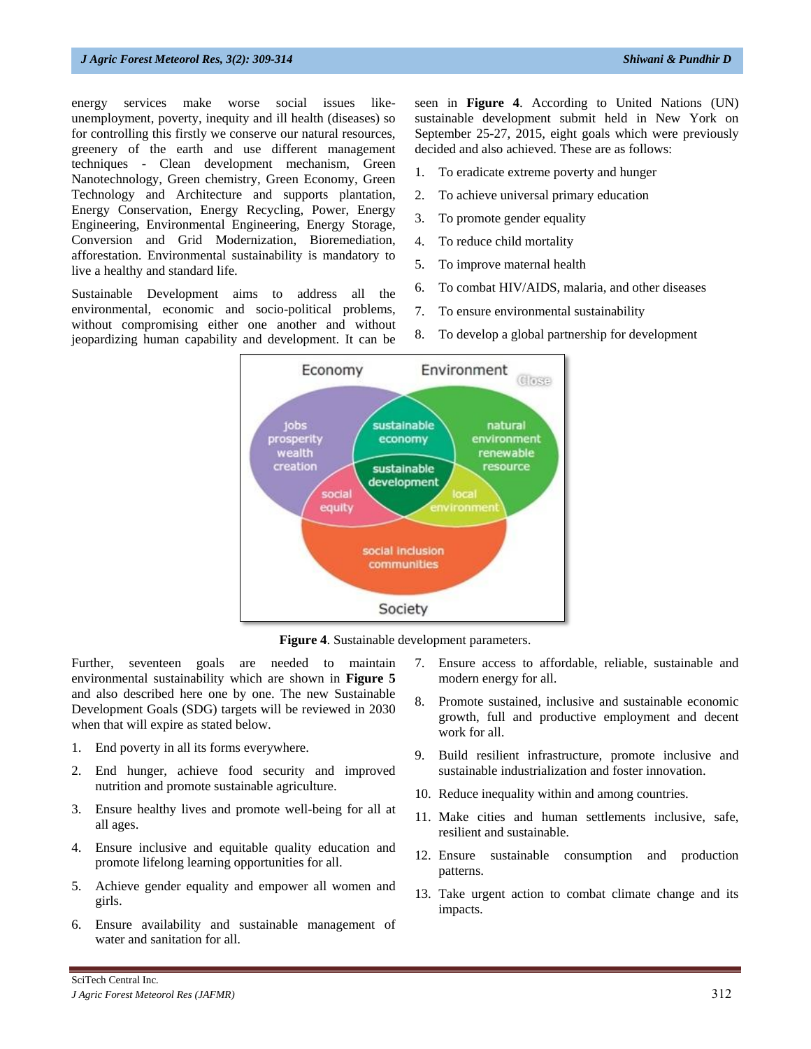energy services make worse social issues likeunemployment, poverty, inequity and ill health (diseases) so for controlling this firstly we conserve our natural resources, greenery of the earth and use different management techniques - Clean development mechanism, Green Nanotechnology, Green chemistry, Green Economy, Green Technology and Architecture and supports plantation, Energy Conservation, Energy Recycling, Power, Energy Engineering, Environmental Engineering, Energy Storage, Conversion and Grid Modernization, Bioremediation, afforestation. Environmental sustainability is mandatory to live a healthy and standard life.

Sustainable Development aims to address all the environmental, economic and socio-political problems, without compromising either one another and without jeopardizing human capability and development. It can be

seen in **Figure 4**. According to United Nations (UN) sustainable development submit held in New York on September 25-27, 2015, eight goals which were previously decided and also achieved. These are as follows:

- 1. To eradicate extreme poverty and hunger
- 2. To achieve universal primary education
- 3. To promote gender equality
- 4. To reduce child mortality
- 5. To improve maternal health
- 6. To combat HIV/AIDS, malaria, and other diseases
- 7. To ensure environmental sustainability
- 8. To develop a global partnership for development



**Figure 4**. Sustainable development parameters.

Further, seventeen goals are needed to maintain environmental sustainability which are shown in **Figure 5** and also described here one by one. The new Sustainable Development Goals (SDG) targets will be reviewed in 2030 when that will expire as stated below.

- 1. End poverty in all its forms everywhere.
- 2. End hunger, achieve food security and improved nutrition and promote sustainable agriculture.
- 3. Ensure healthy lives and promote well-being for all at all ages.
- 4. Ensure inclusive and equitable quality education and promote lifelong learning opportunities for all.
- 5. Achieve gender equality and empower all women and girls.
- 6. Ensure availability and sustainable management of water and sanitation for all.
- 7. Ensure access to affordable, reliable, sustainable and modern energy for all.
- 8. Promote sustained, inclusive and sustainable economic growth, full and productive employment and decent work for all.
- 9. Build resilient infrastructure, promote inclusive and sustainable industrialization and foster innovation.
- 10. Reduce inequality within and among countries.
- 11. Make cities and human settlements inclusive, safe, resilient and sustainable.
- 12. Ensure sustainable consumption and production patterns.
- 13. Take urgent action to combat climate change and its impacts.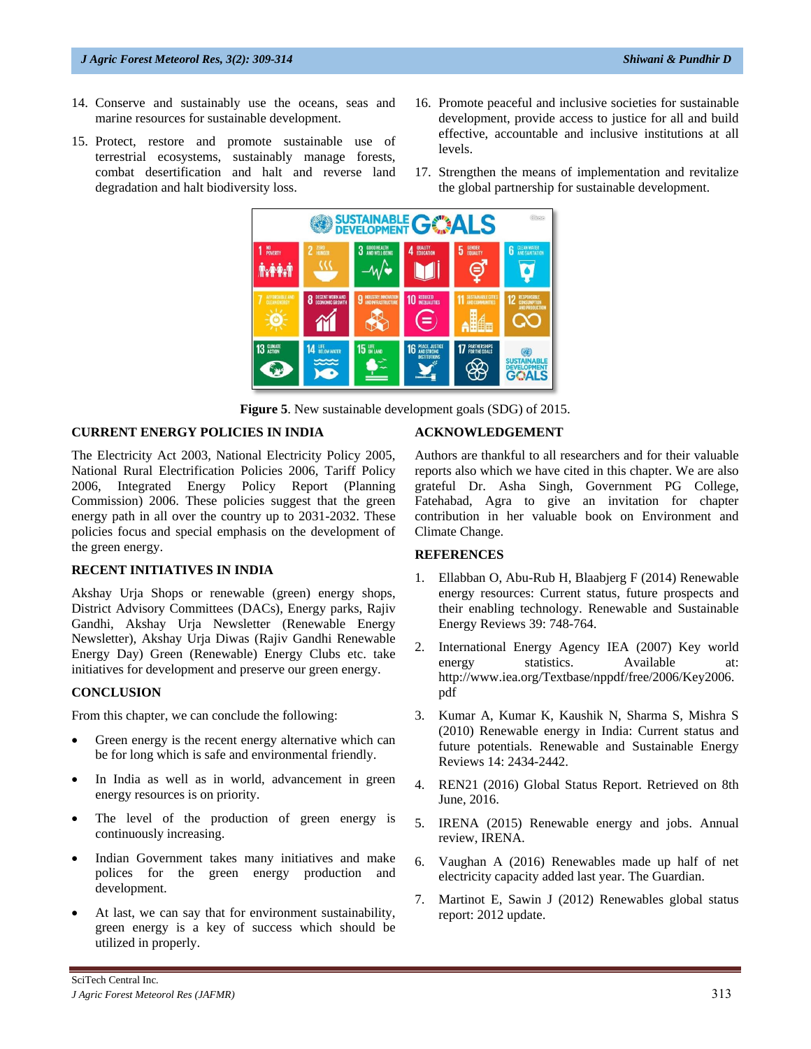#### *J Agric Forest Meteorol Res, 3(2): 309-314 Shiwani & Pundhir D*

- 14. Conserve and sustainably use the oceans, seas and marine resources for sustainable development.
- 15. Protect, restore and promote sustainable use of terrestrial ecosystems, sustainably manage forests, combat desertification and halt and reverse land degradation and halt biodiversity loss.
- 16. Promote peaceful and inclusive societies for sustainable development, provide access to justice for all and build effective, accountable and inclusive institutions at all levels.
- 17. Strengthen the means of implementation and revitalize the global partnership for sustainable development.



**Figure 5**. New sustainable development goals (SDG) of 2015.

#### **CURRENT ENERGY POLICIES IN INDIA**

The Electricity Act 2003, National Electricity Policy 2005, National Rural Electrification Policies 2006, Tariff Policy 2006, Integrated Energy Policy Report (Planning Commission) 2006. These policies suggest that the green energy path in all over the country up to 2031-2032. These policies focus and special emphasis on the development of the green energy.

#### **RECENT INITIATIVES IN INDIA**

Akshay Urja Shops or renewable (green) energy shops, District Advisory Committees (DACs), Energy parks, Rajiv Gandhi, Akshay Urja Newsletter (Renewable Energy Newsletter), Akshay Urja Diwas (Rajiv Gandhi Renewable Energy Day) Green (Renewable) Energy Clubs etc. take initiatives for development and preserve our green energy.

#### **CONCLUSION**

From this chapter, we can conclude the following:

- Green energy is the recent energy alternative which can be for long which is safe and environmental friendly.
- In India as well as in world, advancement in green energy resources is on priority.
- The level of the production of green energy is continuously increasing.
- Indian Government takes many initiatives and make polices for the green energy production and development.
- At last, we can say that for environment sustainability, green energy is a key of success which should be utilized in properly.

#### **ACKNOWLEDGEMENT**

Authors are thankful to all researchers and for their valuable reports also which we have cited in this chapter. We are also grateful Dr. Asha Singh, Government PG College, Fatehabad, Agra to give an invitation for chapter contribution in her valuable book on Environment and Climate Change.

#### **REFERENCES**

- 1. Ellabban O, Abu-Rub H, Blaabjerg F (2014) Renewable energy resources: Current status, future prospects and their enabling technology. Renewable and Sustainable Energy Reviews 39: 748-764.
- 2. International Energy Agency IEA (2007) Key world energy statistics. Available at: [http://www.iea.org/Textbase/nppdf/free/2006/Key2006.](http://www.iea.org/Textbase/nppdf/free/2006/Key2006.pdf) [pdf](http://www.iea.org/Textbase/nppdf/free/2006/Key2006.pdf)
- 3. Kumar A, Kumar K, Kaushik N, Sharma S, Mishra S (2010) Renewable energy in India: Current status and future potentials. Renewable and Sustainable Energy Reviews 14: 2434-2442.
- 4. REN21 (2016) Global Status Report. Retrieved on 8th June, 2016.
- 5. IRENA (2015) Renewable energy and jobs. Annual review, IRENA.
- 6. Vaughan A (2016) Renewables made up half of net electricity capacity added last year. The Guardian.
- 7. Martinot E, Sawin J (2012) Renewables global status report: 2012 update.